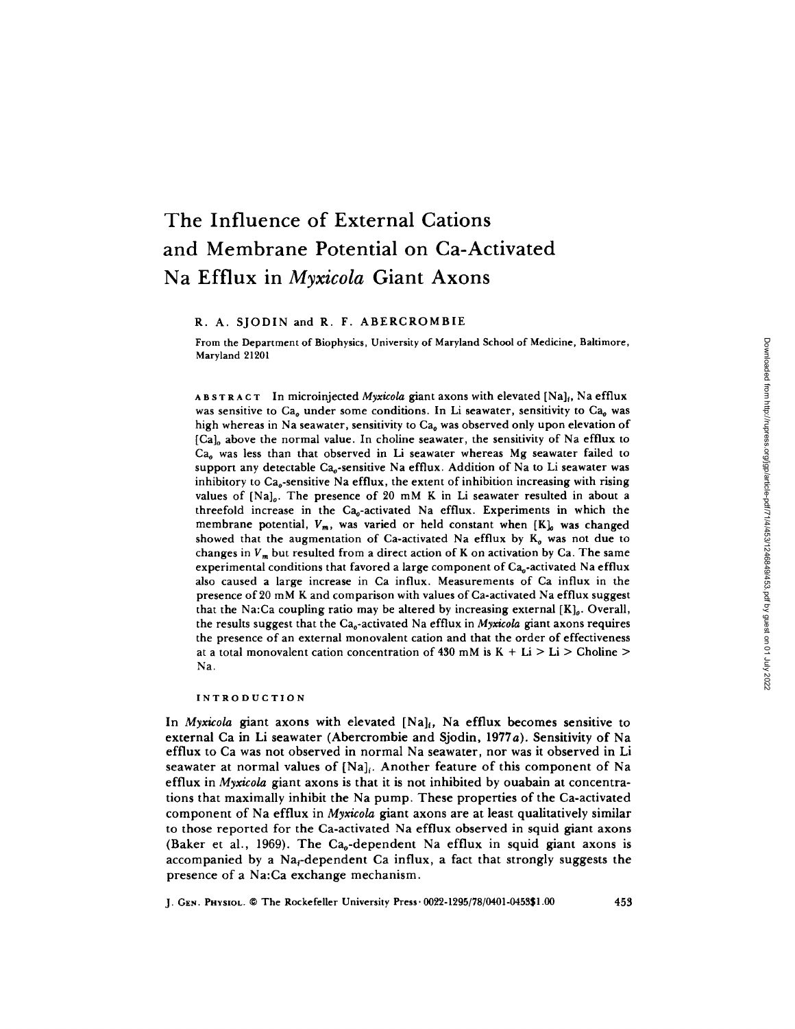# **The Influence of External Cations and Membrane Potential on Ca-Activated Na Efflux in** *Myxicola* **Giant Axons**

## R. A. SJODIN and R. F. ABERCROMBIE

From the Department of Biophysics, University of Maryland School of Medicine, Baltimore, Maryland 21201

A B S T a A C T In microinjected *Myxicola* giant axons with elevated [Na],, Na efflux was sensitive to  $Ca<sub>o</sub>$  under some conditions. In Li seawater, sensitivity to  $Ca<sub>o</sub>$  was high whereas in Na seawater, sensitivity to  $Ca<sub>o</sub>$  was observed only upon elevation of [Ca], above the normal value. In choline seawater, the sensitivity of Na efflux to  $Ca<sub>o</sub>$  was less than that observed in Li seawater whereas Mg seawater failed to support any detectable Ca<sub>a</sub>-sensitive Na efflux. Addition of Na to Li seawater was inhibitory to  $Ca_{o}$ -sensitive Na efflux, the extent of inhibition increasing with rising values of  $[Na]_o$ . The presence of 20 mM K in Li seawater resulted in about a threefold increase in the  $Ca<sub>o</sub>$ -activated Na efflux. Experiments in which the membrane potential,  $V_m$ , was varied or held constant when  $\{K\}$  was changed showed that the augmentation of Ca-activated Na efflux by  $K_0$  was not due to changes in  $V_m$  but resulted from a direct action of K on activation by Ca. The same experimental conditions that favored a large component of  $Ca<sub>a</sub>$ -activated Na efflux also caused a large increase in Ca influx. Measurements of Ca influx in the presence of 20 m M K and comparison with values of Ca-activated Na efflux suggest that the Na:Ca coupling ratio may be altered by increasing external  $[K]_0$ . Overall, the results suggest that the Cap-activated Na efflux in *Myxicola* giant axons requires the presence of an external monovalent cation and that the order of effectiveness at a total monovalent cation concentration of 430 mM is  $K + Li > Li > Choline >$ Na.

#### INTRODUCTION

In *Myxicola* giant axons with elevated [Na],, Na efflux becomes sensitive to external Ca in Li seawater (Abercrombie and Sjodin, 1977a). Sensitivity of Na efflux to Ca was not observed in normal Na seawater, nor was it observed in Li seawater at normal values of  $[Na]_{i}$ . Another feature of this component of Na efflux in *Myxicola* giant axons is that it is not inhibited by ouabain at concentrations that maximally inhibit the Na pump. These properties of the Ca-activated component of Na efflux in *Myxicola* giant axons are at least qualitatively similar to those reported for the Ca-activated Na efflux observed in squid giant axons (Baker et al., 1969). The Ca<sub>0</sub>-dependent Na efflux in squid giant axons is accompanied by a  $Na<sub>r</sub>$ -dependent Ca influx, a fact that strongly suggests the presence of a Na:Ca exchange mechanism.

J. GEN. PHYSIOL. © The Rockefeller University Press. 0022-1295/78/0401-0453\$1.00 453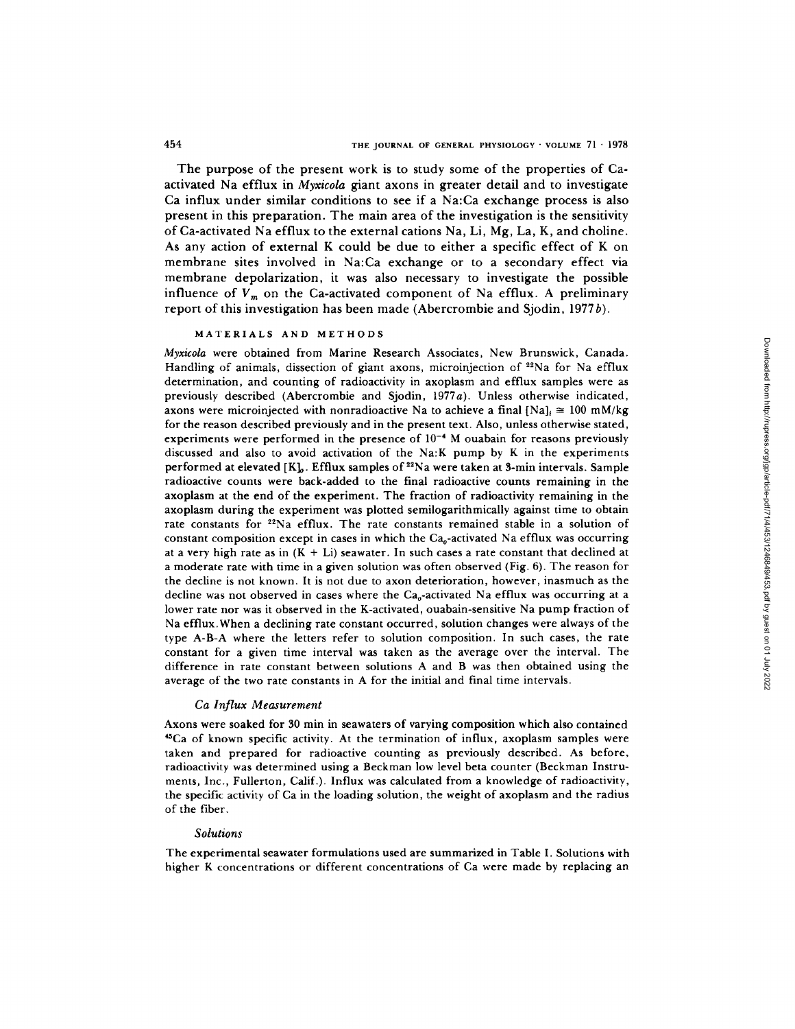The purpose of the present work is to study some of the properties of Caactivated Na efflux in *Myxicola* giant axons in greater detail and to investigate Ca influx under similar conditions to see if a Na:Ca exchange process is also present in this preparation. The main area of the investigation is the sensitivity of Ca-activated Na efflux to the external cations Na, Li, Mg, La, K, and choline. As any action of external K could be due to either a specific effect of K on membrane sites involved in Na:Ca exchange or to a secondary effect via membrane depolarization, it was also necessary to investigate the possible influence of  $V_m$  on the Ca-activated component of Na efflux. A preliminary report of this investigation has been made (Abercrombie and Sjodin, 1977b).

#### MATERIALS AND METHODS

*Myxicola* were obtained from Marine Research Associates, New Brunswick, Canada. Handling of animals, dissection of giant axons, microinjection of  $22\text{Na}$  for Na efflux determination, and counting of radioactivity in axoplasm and efflux samples were as previously described (Abercrombie and Sjodin, 1977a). Unless otherwise indicated, axons were microinjected with nonradioactive Na to achieve a final  $[Na]_i \approx 100 \text{ mM/kg}$ for the reason described previously and in the present text. Also, unless otherwise stated, experiments were performed in the presence of  $10^{-4}$  M ouabain for reasons previously discussed and also to avoid activation of the Na:K pump by K in the experiments performed at elevated  $[K]_0$ . Efflux samples of <sup>22</sup>Na were taken at 3-min intervals. Sample radioactive counts were back-added to the final radioactive counts remaining in the axoplasm at the end of the experiment. The fraction of radioactivity remaining in the axoplasm during the experiment was plotted semilogarithmically against time to obtain rate constants for <sup>22</sup>Na efflux. The rate constants remained stable in a solution of constant composition except in cases in which the Ca<sub>n</sub>-activated Na efflux was occurring at a very high rate as in  $(K + Li)$  seawater. In such cases a rate constant that declined at a moderate rate with time in a given solution was often observed (Fig. 6). The reason for the decline is not known. It is not due to axon deterioration, however, inasmuch as the decline was not observed in cases where the  $Ca<sub>a</sub>$ -activated Na efflux was occurring at a lower rate nor was it observed in the K-activated, ouabain-sensitive Na pump fraction of Na efflux.When a declining rate constant occurred, solution changes were always of the type A-B-A where the letters refer to solution composition. In such cases, the rate constant for a given time interval was taken as the average over the interval. The difference in rate constant between solutions A and B was then obtained using the average of the two rate constants in A for the initial and final time intervals.

## *Ca Influx Measurement*

Axons were soaked for 30 min in seawaters of varying composition which also contained 45Ca of known specific activity. At the termination of influx, axoplasm samples were taken and prepared for radioactive counting as previously described. As before, radioactivity was determined using a Beckman low level beta counter (Beckman Instruments, Inc., Fullerton, Calif.). Influx was calculated from a knowledge of radioactivity, the specific activity of Ca in the loading solution, the weight of axoplasm and the radius of the fiber.

#### *Solutions*

The experimental seawater formulations used are summarized in Table I. Solutions with higher K concentrations or different concentrations of Ca were made by replacing an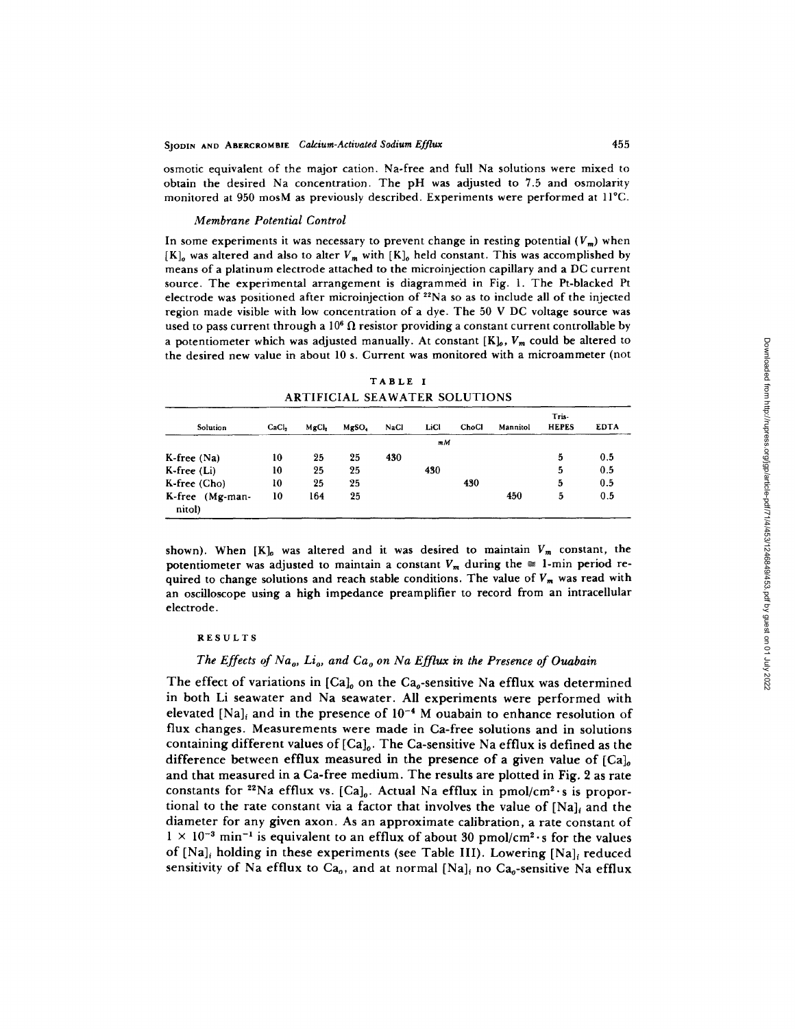osmotic equivalent of the major cation. Na-free and full Na solutions were mixed to obtain the desired Na concentration. The pH was adjusted to 7.5 and osmolarity monitored at 950 mosM as previously described. Experiments were performed at 11°C.

## *Membrane Potential Control*

In some experiments it was necessary to prevent change in resting potential  $(V_m)$  when  $[K]_0$  was altered and also to alter  $V_m$  with  $[K]_0$  held constant. This was accomplished by means of a platinum electrode attached to the microinjection capillary and a DC current source. The experimental arrangement is diagrammed in Fig. 1. The Pt-blacked Pt electrode was positioned after microinjection of  $^{22}$ Na so as to include all of the injected region made visible with low concentration of a dye. The 50 V DC voltage source was used to pass current through a  $10^6 \Omega$  resistor providing a constant current controllable by a potentiometer which was adjusted manually. At constant  $[K]_b$ ,  $V_m$  could be altered to the desired new value in about 10 s. Current was monitored with a microammeter (not

TABLE I ARTIFICIAL SEAWATER SOLUTIONS

| Solution                  | CaCl. | MgCl, | MgSO, | NaCl | LiCl | ChoCl | Mannitol | Tris-<br><b>HEPES</b> | <b>EDTA</b> |
|---------------------------|-------|-------|-------|------|------|-------|----------|-----------------------|-------------|
|                           |       |       |       |      |      |       |          |                       |             |
|                           |       |       |       |      | mM   |       |          |                       |             |
| $K-free (Na)$             | 10    | 25    | 25    | 430  |      |       |          | 5                     | 0.5         |
| K-free (Li)               | 10    | 25    | 25    |      | 430  |       |          | 5                     | 0.5         |
| K-free (Cho)              | 10    | 25    | 25    |      |      | 430   |          | 5                     | 0.5         |
| K-free (Mg-man-<br>nitol) | 10    | 164   | 25    |      |      |       | 450      | 5                     | 0.5         |

shown). When  $[K]_0$  was altered and it was desired to maintain  $V_m$  constant, the potentiometer was adjusted to maintain a constant  $V_m$  during the  $\cong$  1-min period required to change solutions and reach stable conditions. The value of  $V_m$  was read with an oscilloscope using a high impedance preamplifier to record from an intracellular electrode.

#### RESULTS

## *The Effects of Na<sub>o</sub>, Li<sub>o</sub>, and Ca<sub>o</sub> on Na Efflux in the Presence of Ouabain*

The effect of variations in  ${[Cal_n]_{\text{o}}}$  on the Ca<sub>o</sub>-sensitive Na efflux was determined in both Li seawater and Na seawater. All experiments were performed with elevated [Na]<sub>i</sub> and in the presence of  $10^{-4}$  M ouabain to enhance resolution of flux changes. Measurements were made in Ca-free solutions and in solutions containing different values of  $[Ca]_o$ . The Ca-sensitive Na efflux is defined as the difference between efflux measured in the presence of a given value of  $[Ca]_o$ and that measured in a Ca-free medium. The results are plotted in Fig. 2 as rate constants for <sup>22</sup>Na efflux vs.  $[Ca]_0$ . Actual Na efflux in pmol/cm<sup>2</sup>·s is proportional to the rate constant via a factor that involves the value of  $[Na]_i$  and the diameter for any given axon. As an approximate calibration, a rate constant of  $1 \times 10^{-3}$  min<sup>-1</sup> is equivalent to an efflux of about 30 pmol/cm<sup>2</sup> · s for the values of  $[Na]_i$  holding in these experiments (see Table III). Lowering  $[Na]_i$  reduced sensitivity of Na efflux to Ca<sub>o</sub>, and at normal [Na], no Ca<sub>o</sub>-sensitive Na efflux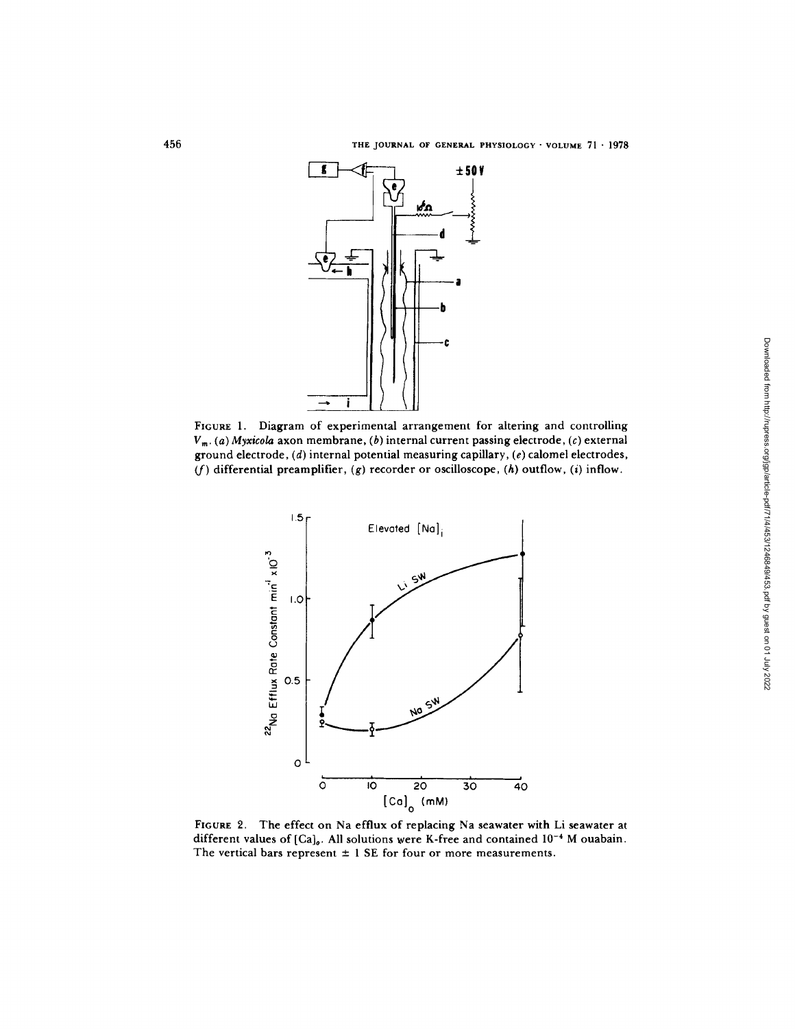

FIGURE 1. Diagram of experimental arrangement for altering and controlling *Vm. (a) Myxicola* **axon membrane, (b) internal current passing electrode, (c) external ground electrode, (d) internal potential measuring capillary, (e) calomel electrodes, (f) differential preamplifier, (g) recorder or oscilloscope, (h) outflow, (i) inflow.** 



**FIGURE 2. The effect on Na efflux of replacing Na seawater with Li seawater at**  different values of [Ca]<sub>0</sub>. All solutions were K-free and contained 10<sup>-4</sup> M ouabain. The vertical bars represent  $\pm 1$  SE for four or more measurements.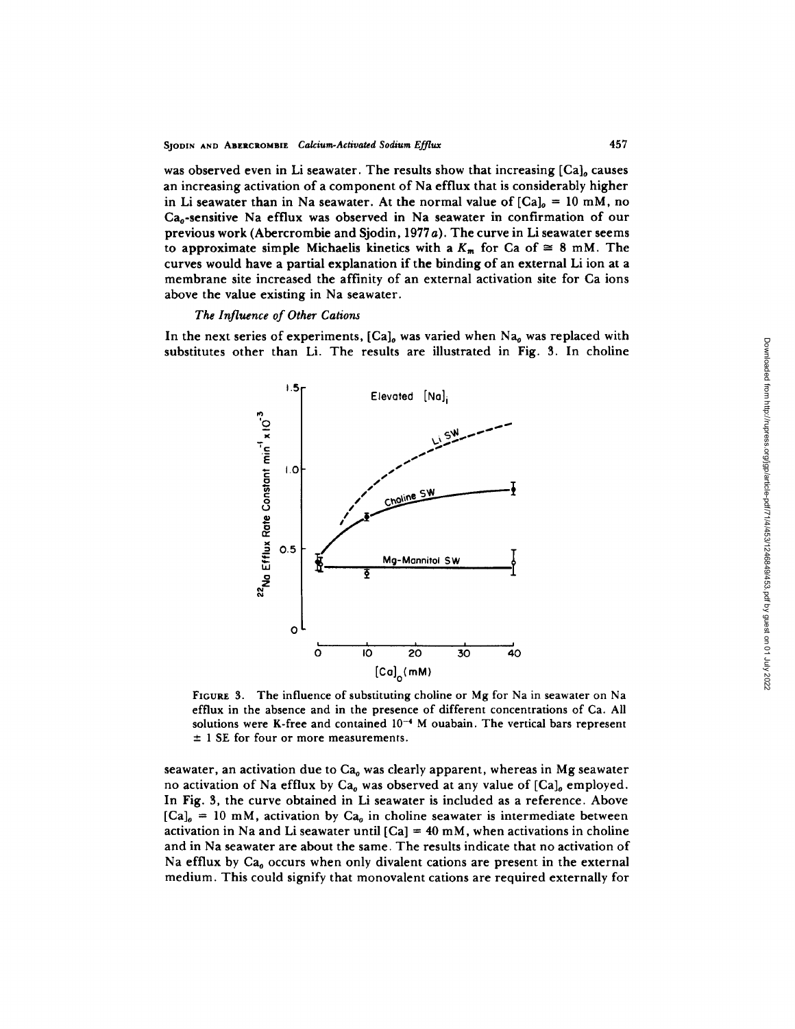was observed even in Li seawater. The results show that increasing  $[Ca]_o$  causes an increasing activation of a component of Na efflux that is considerably higher in Li seawater than in Na seawater. At the normal value of  $[Ca]_o = 10$  mM, no  $Ca<sub>a</sub>$ -sensitive Na efflux was observed in Na seawater in confirmation of our previous work (Abercrombie and Sjodin, 1977a). The curve in Li seawater seems to approximate simple Michaelis kinetics with a  $K_m$  for Ca of  $\cong 8$  mM. The curves would have a partial explanation if the binding of an external Li ion at a membrane site increased the affinity of an external activation site for Ca ions above the value existing in Na seawater.

## *The Influence of Other Cations*

In the next series of experiments,  $[Ca]_o$  was varied when Na<sub>o</sub> was replaced with substitutes other than Li. The results are illustrated in Fig. 3. In choline



FIGURE 3. The influence of substituting choline or Mg for Na in seawater on Na efflux in the absence and in the presence of different concentrations of Ca. All solutions were K-free and contained  $10^{-4}$  M ouabain. The vertical bars represent  $\pm$  1 SE for four or more measurements.

seawater, an activation due to  $Ca<sub>o</sub>$  was clearly apparent, whereas in Mg seawater no activation of Na efflux by  $Ca_0$  was observed at any value of  $[Ca]_0$  employed. In Fig. 3, the curve obtained in Li seawater is included as a reference. Above  $[Ca]_o = 10$  mM, activation by  $Ca<sub>a</sub>$  in choline seawater is intermediate between activation in Na and Li seawater until  $[Ca] = 40$  mM, when activations in choline and in Na seawater are about the same. The results indicate that no activation of Na efflux by  $Ca<sub>o</sub>$  occurs when only divalent cations are present in the external medium. This could signify that monovalent cations are required externally for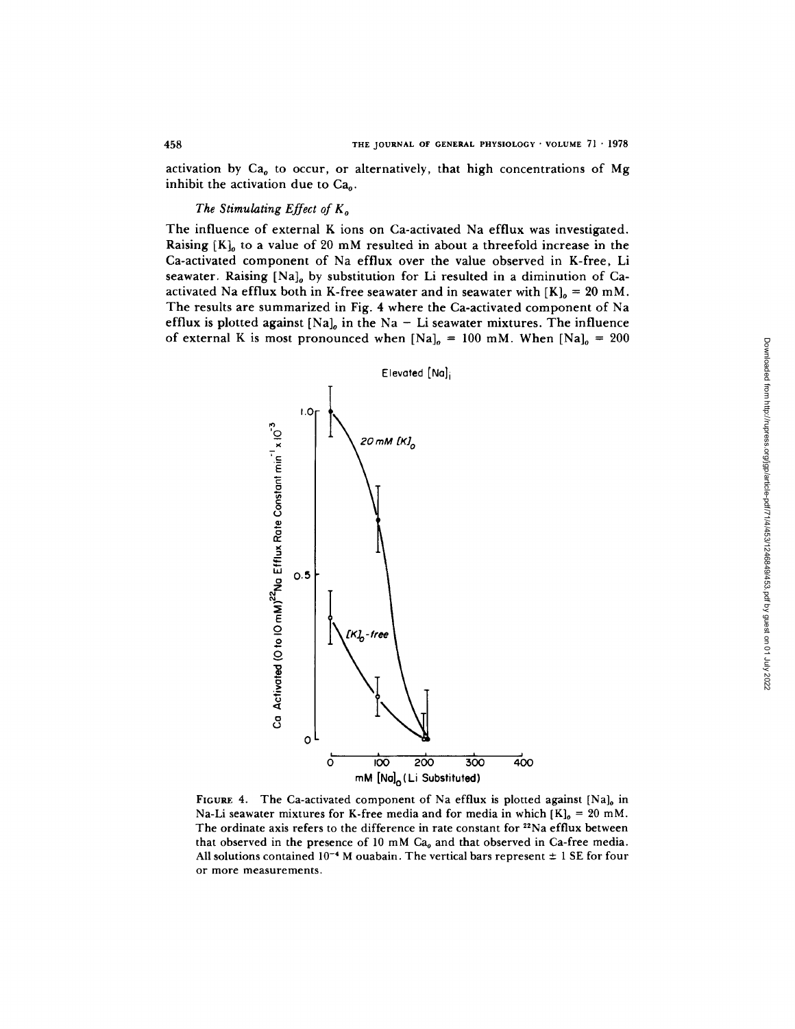activation by  $Ca<sub>o</sub>$  to occur, or alternatively, that high concentrations of Mg inhibit the activation due to  $Ca<sub>o</sub>$ .

# *The Stimulating Effect of K o*

The influence of external K ions on Ca-activated Na efflux was investigated. Raising  $[K]_0$  to a value of 20 mM resulted in about a threefold increase in the Ca-activated component of Na efflux over the value observed in K-free, Li seawater. Raising  $[Na]_o$  by substitution for Li resulted in a diminution of Caactivated Na efflux both in K-free seawater and in seawater with  $[K]_o = 20$  mM. The results are summarized in Fig. 4 where the Ca-activated component of Na efflux is plotted against  $[Na]_o$  in the Na - Li seawater mixtures. The influence of external K is most pronounced when  $[Na]_o = 100$  mM. When  $[Na]_o = 200$ 



FIGURE 4. The Ca-activated component of Na efflux is plotted against  $[Na]_o$  in Na-Li seawater mixtures for K-free media and for media in which  $[K]_0 = 20$  mM. The ordinate axis refers to the difference in rate constant for <sup>22</sup>Na efflux between that observed in the presence of 10 mM  $Ca<sub>o</sub>$  and that observed in Ca-free media. All solutions contained  $10^{-4}$  M ouabain. The vertical bars represent  $\pm 1$  SE for four or more measurements.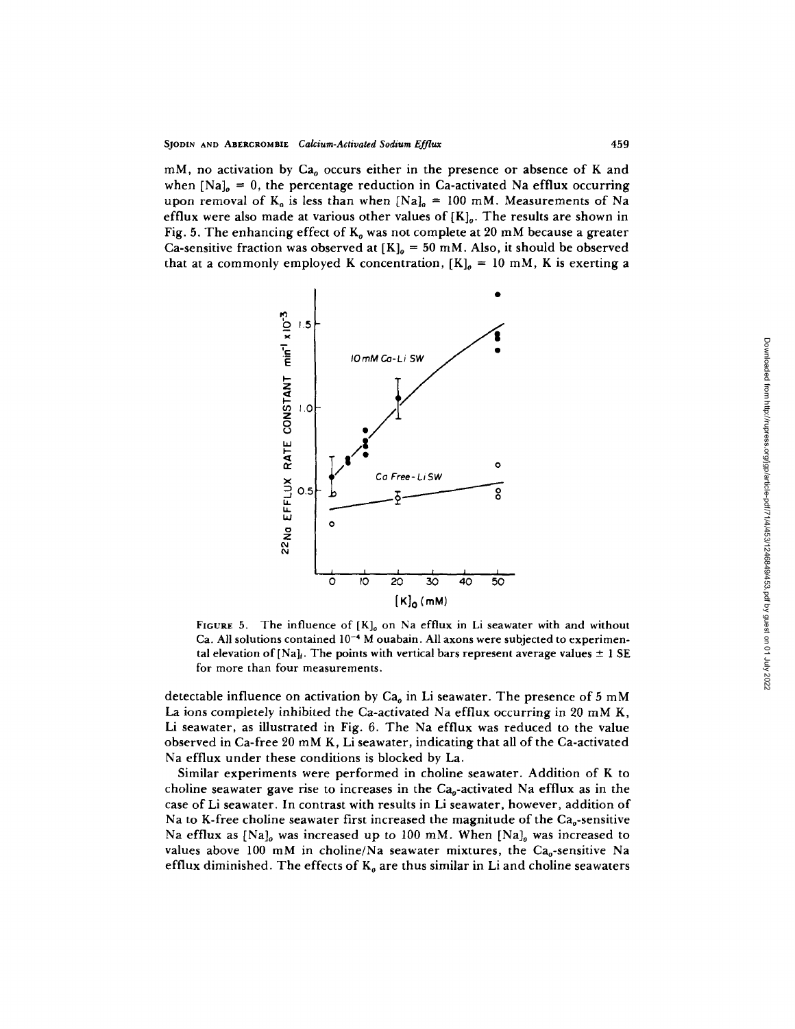$m$ M, no activation by  $Ca<sub>o</sub>$  occurs either in the presence or absence of K and when  $[Na]_0 = 0$ , the percentage reduction in Ca-activated Na efflux occurring upon removal of  $K_0$  is less than when  $[Na]_0 = 100$  mM. Measurements of Na efflux were also made at various other values of  $[K]_0$ . The results are shown in Fig. 5. The enhancing effect of  $K_a$  was not complete at 20 mM because a greater Ca-sensitive fraction was observed at  $[K]_0 = 50$  mM. Also, it should be observed that at a commonly employed K concentration,  $[K]_0 = 10$  mM, K is exerting a



FIGURE 5. The influence of  $[K]_0$  on Na efflux in Li seawater with and without Ca. All solutions contained  $10^{-4}$  M ouabain. All axons were subjected to experimental elevation of  $[Na]_t$ . The points with vertical bars represent average values  $\pm 1$  SE for more than four measurements.

detectable influence on activation by  $Ca<sub>a</sub>$  in Li seawater. The presence of 5 mM La ions completely inhibited the Ca-activated Na efflux occurring in 20 mM K, Li seawater, as illustrated in Fig. 6. The Na efflux was reduced to the value observed in Ca-free 20 mM K, Li seawater, indicating that all of the Ca-activated Na efflux under these conditions is blocked by La.

Similar experiments were performed in choline seawater. Addition of K to choline seawater gave rise to increases in the  $Ca<sub>p</sub>$ -activated Na efflux as in the case of Li seawater. In contrast with results in Li seawater, however, addition of Na to K-free choline seawater first increased the magnitude of the  $Ca<sub>o</sub>$ -sensitive Na efflux as  $[Na]_o$  was increased up to 100 mM. When  $[Na]_o$  was increased to values above 100 mM in choline/Na seawater mixtures, the  $Ca<sub>o</sub>$ -sensitive Na efflux diminished. The effects of  $K_0$  are thus similar in Li and choline seawaters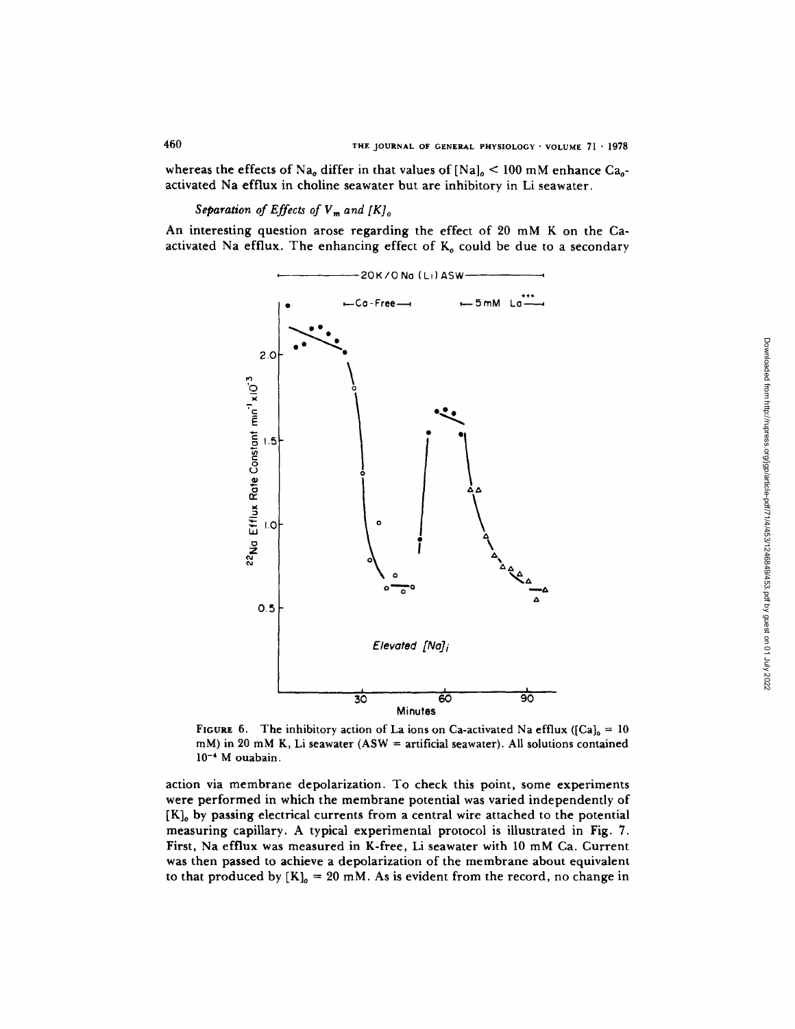whereas the effects of Na<sub>o</sub> differ in that values of  $[Na]_o \le 100$  mM enhance  $Ca<sub>o</sub>$ **activated Na efflux in choline seawater but are inhibitory in Li seawater.** 

*Separation of Effects of V<sub>m</sub> and [K]<sub>0</sub>* 

**An interesting question arose regarding the effect of 20 mM K on the Ca**activated Na efflux. The enhancing effect of K<sub>0</sub> could be due to a secondary



**FIGURE 6.** The inhibitory action of La ions on Ca-activated Na efflux ( $[Ca]_0 = 10$ **raM) in 20 mM K, Li seawater (ASW = artificial seawater). All solutions contained 10 -4 M ouabain.** 

**action via membrane depolarization. To check this point, some experiments were performed in which the membrane potential was varied independently of**   $[K]_0$  by passing electrical currents from a central wire attached to the potential **measuring capillary. A typical experimental protocol is illustrated in Fig. 7. First, Na efflux was measured in K-free, Li seawater with 10 mM Ca. Current was then passed to achieve a depolarization of the membrane about equivalent**  to that produced by  $[K]_o = 20$  mM. As is evident from the record, no change in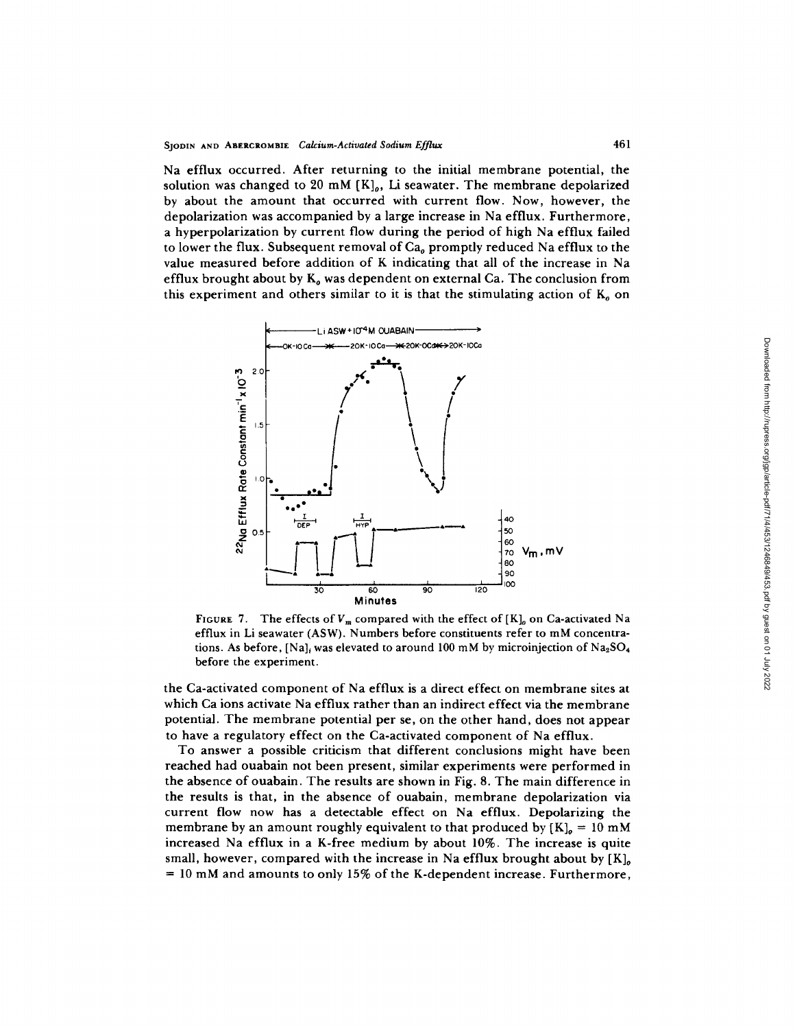Na efflux occurred. After returning to the initial membrane potential, the solution was changed to 20 mM  $[K]_0$ , Li seawater. The membrane depolarized by about the amount that occurred with current flow. Now, however, the depolarization was accompanied by a large increase in Na efflux. Furthermore, a hyperpolarization by current flow during the period of high Na efflux failed to lower the flux. Subsequent removal of  $Ca<sub>a</sub>$  promptly reduced Na efflux to the value measured before addition of K indicating that all of the increase in Na efflux brought about by  $K_0$  was dependent on external Ca. The conclusion from this experiment and others similar to it is that the stimulating action of  $K_0$  on



FIGURE 7. The effects of  $V_m$  compared with the effect of  $[K]_0$  on Ca-activated Na efflux in Li seawater (ASW). Numbers before constituents refer to mM concentrations. As before,  $[Na]$ , was elevated to around 100 mM by microinjection of  $Na<sub>2</sub>SO<sub>4</sub>$ before the experiment.

the Ca-activated component of Na efflux is a direct effect on membrane sites at which Ca ions activate Na efflux rather than an indirect effect via the membrane potential. The membrane potential per se, on the other hand, does not appear to have a regulatory effect on the Ca-activated component of Na efflux.

To answer a possible criticism that different conclusions might have been reached had ouabain not been present, similar experiments were performed in the absence of ouabain. The results are shown in Fig. 8. The main difference in the results is that, in the absence of ouabain, membrane depolarization via current flow now has a detectable effect on Na efflux. Depolarizing the membrane by an amount roughly equivalent to that produced by  $[K]_o = 10$  mM increased Na efflux in a K-free medium by about 10%. The increase is quite small, however, compared with the increase in Na efflux brought about by  $[K]_0$ = 10 mM and amounts to only 15% of the K-dependent increase. Furthermore,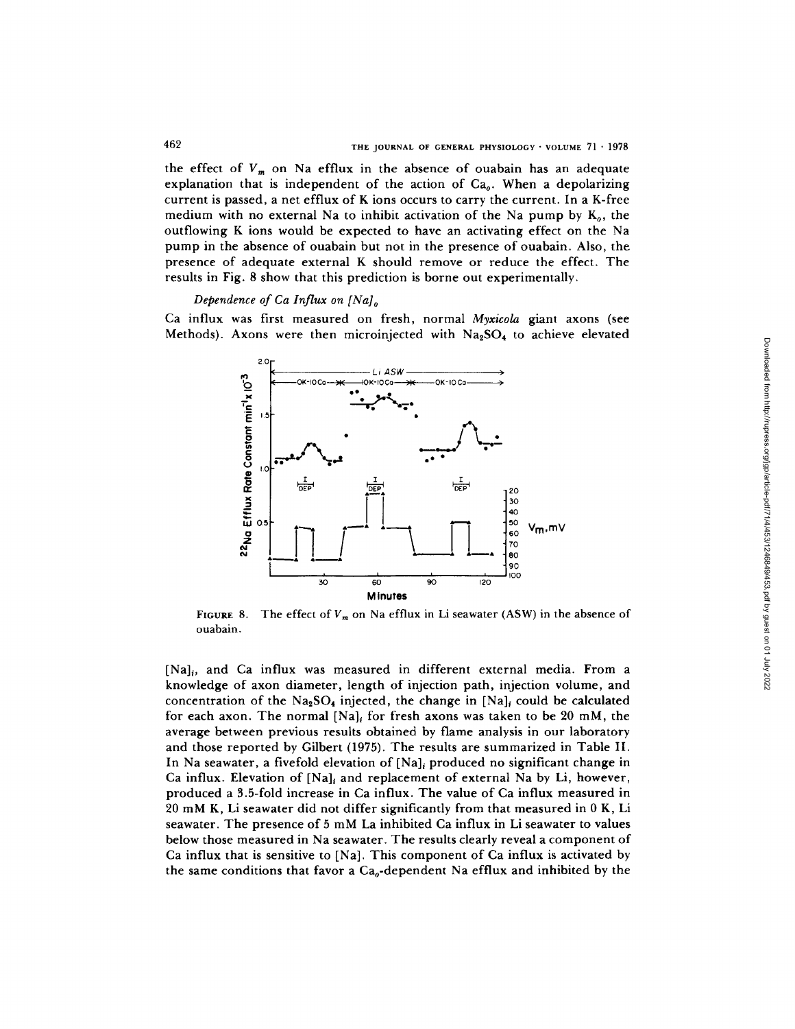the effect of  $V_m$  on Na efflux in the absence of ouabain has an adequate explanation that is independent of the action of  $Ca<sub>o</sub>$ . When a depolarizing current is passed, a net efflux of K ions occurs to carry the current. In a K-free medium with no external Na to inhibit activation of the Na pump by  $K_0$ , the outflowing K ions would be expected to have an activating effect on the Na pump in the absence of ouabain but not in the presence of ouabain. Also, the presence of adequate external K should remove or reduce the effect. The results in Fig. 8 show that this prediction is borne out experimentally.

## *Dependence of Ca Influx on [Na]o*

Ca influx was first measured on fresh, normal *Myxicola* giant axons (see Methods). Axons were then microinjected with  $Na<sub>2</sub>SO<sub>4</sub>$  to achieve elevated



FIGURE 8. The effect of  $V_m$  on Na efflux in Li seawater (ASW) in the absence of ouabain.

 $[Na]_{i}$ , and Ca influx was measured in different external media. From a knowledge of axon diameter, length of injection path, injection volume, and concentration of the  $Na<sub>2</sub>SO<sub>4</sub>$  injected, the change in [Na]<sub>i</sub> could be calculated for each axon. The normal  $[Na]$  for fresh axons was taken to be 20 mM, the average between previous results obtained by flame analysis in our laboratory and those reported by Gilbert (1975). The results are summarized in Table II. In Na seawater, a fivefold elevation of  $[Na]$  produced no significant change in Ca influx. Elevation of  $[Na]_i$  and replacement of external Na by Li, however, produced a 3.5-fold increase in Ca influx. The value of Ca influx measured in 20 mM K, Li seawater did not differ significantly from that measured in 0 K, Li seawater. The presence of 5 mM La inhibited Ca influx in Li seawater to values below those measured in Na seawater. The results clearly reveal a component of Ca influx that is sensitive to [Na]. This component of Ca influx is activated by the same conditions that favor a  $Ca_{0}$ -dependent Na efflux and inhibited by the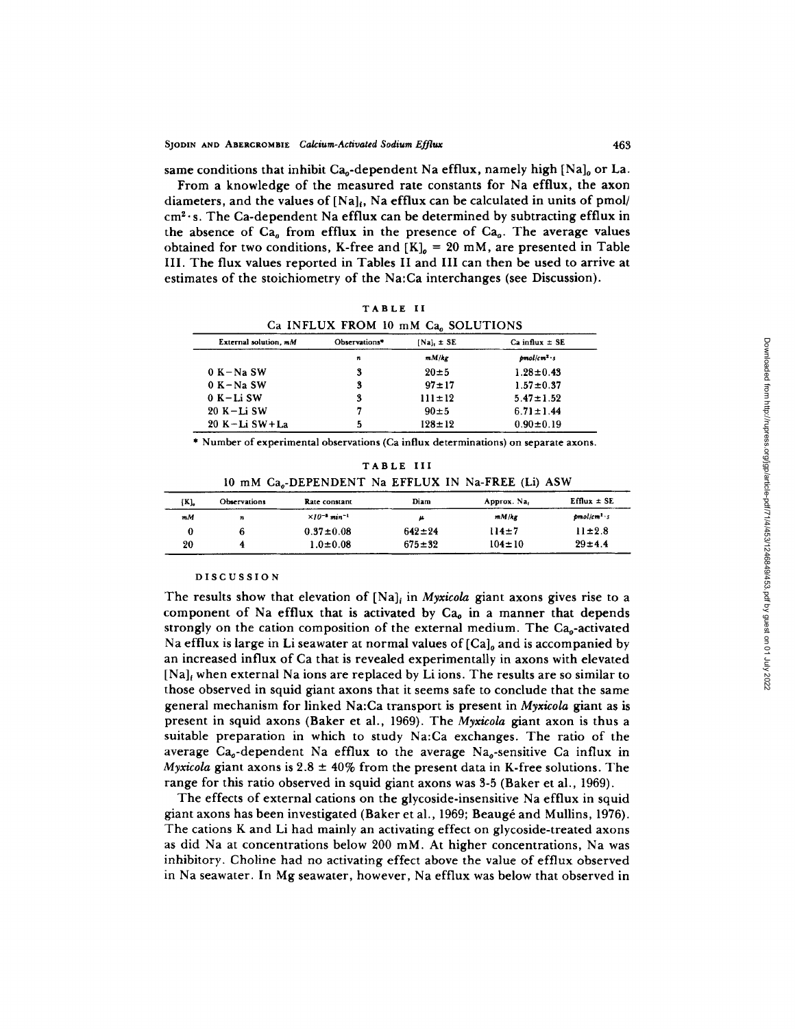same conditions that inhibit  $Ca_{0}$ -dependent Na efflux, namely high  $[Na]_{0}$  or La.

From a knowledge of the measured rate constants for Na efflux, the axon diameters, and the values of  $[Na]_t$ , Na efflux can be calculated in units of pmol/  $cm<sup>2</sup>$  s. The Ca-dependent Na efflux can be determined by subtracting efflux in the absence of  $Ca<sub>o</sub>$  from efflux in the presence of  $Ca<sub>o</sub>$ . The average values obtained for two conditions, K-free and  $[K]_0 = 20$  mM, are presented in Table III. The flux values reported in Tables II and III can then be used to arrive at estimates of the stoichiometry of the Na:Ca interchanges (see Discussion).

TABLE II Ca INFLUX FROM 10 mM Ca, SOLUTIONS

| Observations* | $[Na]$ $\pm$ SE | $Ca$ influx $\pm$ SE |  |  |
|---------------|-----------------|----------------------|--|--|
| n             | mM/kg           | $pmol/cm2$ s         |  |  |
| 3             | $20 \pm 5$      | $1.28 \pm 0.43$      |  |  |
|               | $97 + 17$       | $1.57 \pm 0.37$      |  |  |
| 3             | $111 \pm 12$    | $5.47 \pm 1.52$      |  |  |
|               | $90 + 5$        | $6.71 \pm 1.44$      |  |  |
| 5             | $128 \pm 12$    | $0.90 \pm 0.19$      |  |  |
|               |                 |                      |  |  |

\* Number of experimental observations (Ca influx determinations) on separate axons.

| TABLE III |  |                                                                |  |  |  |  |  |  |  |
|-----------|--|----------------------------------------------------------------|--|--|--|--|--|--|--|
|           |  | 10 mM Ca <sub>c</sub> -DEPENDENT Na EFFLUX IN Na-FREE (Li) ASW |  |  |  |  |  |  |  |

| {K],              | Observations | Rate constant                      | Diam         | Approx. Na,  | $Efflux \pm SE$ |  |  |  |  |
|-------------------|--------------|------------------------------------|--------------|--------------|-----------------|--|--|--|--|
| $m_{\mathcal{M}}$ | n            | $\times 10^{-2}$ min <sup>-1</sup> | μ            | m/M/kg       | $pmol/cm2$ s    |  |  |  |  |
|                   | 6            | $0.37 \pm 0.08$                    | $642 \pm 24$ | $114 + 7$    | $11 \pm 2.8$    |  |  |  |  |
| 20                |              | $1.0 \pm 0.08$                     | $675 \pm 32$ | $104 \pm 10$ | $29 \pm 4.4$    |  |  |  |  |

## DISCUSSION

The results show that elevation of  $[Na]_i$  in *Myxicola* giant axons gives rise to a component of Na efflux that is activated by  $Ca<sub>o</sub>$  in a manner that depends strongly on the cation composition of the external medium. The  $Ca<sub>0</sub>$ -activated Na efflux is large in Li seawater at normal values of  $[Ca]_o$  and is accompanied by an increased influx of Ca that is revealed experimentally in axons with elevated [Na], when external Na ions are replaced by Li ions. The results are so similar to those observed in squid giant axons that it seems safe to conclude that the same general mechanism for linked Na:Ca transport is present in *Myxicola* giant as is present in squid axons (Baker et al., 1969). The *Myxicola* giant axon is thus a suitable preparation in which to study Na:Ca exchanges. The ratio of the average  $Ca_{o}$ -dependent Na efflux to the average Na $_{o}$ -sensitive Ca influx in *Myxicola* giant axons is  $2.8 \pm 40\%$  from the present data in K-free solutions. The range for this ratio observed in squid giant axons was 3-5 (Baker et al., 1969).

The effects of external cations on the glycoside-insensitive Na efflux in squid giant axons has been investigated (Baker et al., 1969; Beaug6 and Mullins, 1976). The cations K and Li had mainly an activating effect on glycoside-treated axons as did Na at concentrations below 200 mM. At higher concentrations, Na was inhibitory. Choline had no activating effect above the value of efflux observed in Na seawater. In Mg seawater, however, Na efflux was below that observed in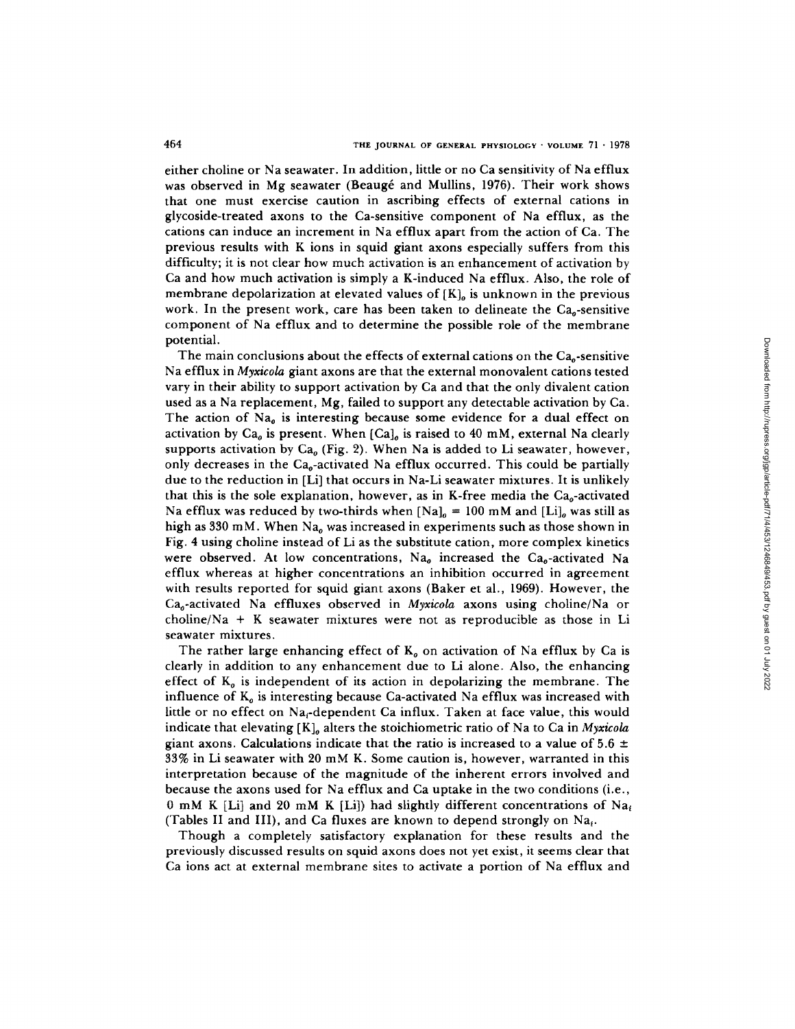either choline or Na seawater. In addition, little or no Ca sensitivity of Na efflux was observed in Mg seawater (Beaugé and Mullins, 1976). Their work shows that one must exercise caution in ascribing effects of external cations in glycoside-treated axons to the Ca-sensitive component of Na efflux, as the cations can induce an increment in Na efflux apart from the action of Ca. The previous results with K ions in squid giant axons especially suffers from this difficulty; it is not clear how much activation is an enhancement of activation by Ca and how much activation is simply a K-induced Na efflux. Also, the role of membrane depolarization at elevated values of  $[K]_o$  is unknown in the previous work. In the present work, care has been taken to delineate the  $Ca_{0}$ -sensitive component of Na efflux and to determine the possible role of the membrane potential.

The main conclusions about the effects of external cations on the  $Ca<sub>o</sub>$ -sensitive Na efflux in *Myxicola* giant axons are that the external monovalent cations tested vary in their ability to support activation by Ca and that the only divalent cation used as a Na replacement, Mg, failed to support any detectable activation by Ca. The action of  $Na<sub>a</sub>$  is interesting because some evidence for a dual effect on activation by  $Ca<sub>o</sub>$  is present. When  $[Ca]<sub>o</sub>$  is raised to 40 mM, external Na clearly supports activation by  $Ca<sub>o</sub>$  (Fig. 2). When Na is added to Li seawater, however, only decreases in the  $Ca_{0}$ -activated Na efflux occurred. This could be partially due to the reduction in [Li] that occurs in Na-Li seawater mixtures. It is unlikely that this is the sole explanation, however, as in K-free media the  $Ca<sub>o</sub>$ -activated Na efflux was reduced by two-thirds when  $[Na]_o = 100$  mM and  $[Li]_o$  was still as high as 330 mM. When  $Na<sub>a</sub>$  was increased in experiments such as those shown in Fig. 4 using choline instead of Li as the substitute cation, more complex kinetics were observed. At low concentrations, Na<sub>o</sub> increased the Ca<sub>o</sub>-activated Na efflux whereas at higher concentrations an inhibition occurred in agreement with results reported for squid giant axons (Baker et al., 1969). However, the Ca<sub>n</sub>-activated Na effluxes observed in *Myxicola* axons using choline/Na or choline/Na  $+$  K seawater mixtures were not as reproducible as those in Li seawater mixtures.

The rather large enhancing effect of  $K_0$  on activation of Na efflux by Ca is clearly in addition to any enhancement due to Li alone. Also, the enhancing effect of  $K_0$  is independent of its action in depolarizing the membrane. The influence of  $K<sub>0</sub>$  is interesting because Ca-activated Na efflux was increased with little or no effect on  $Na<sub>t</sub>$ -dependent Ca influx. Taken at face value, this would indicate that elevating [K]<sub>0</sub> alters the stoichiometric ratio of Na to Ca in *Myxicola* giant axons. Calculations indicate that the ratio is increased to a value of 5.6  $\pm$ 33% in Li seawater with 20 mM K. Some caution is, however, warranted in this interpretation because of the magnitude of the inherent errors involved and because the axons used for Na efflux and Ca uptake in the two conditions (i.e., 0 mM K [Li] and 20 mM K [Li]) had slightly different concentrations of Na<sub>i</sub> (Tables II and III), and Ca fluxes are known to depend strongly on  $Na<sub>i</sub>$ .

Though a completely satisfactory explanation for these results and the previously discussed results on squid axons does not yet exist, it seems clear that Ca ions act at external membrane sites to activate a portion of Na efflux and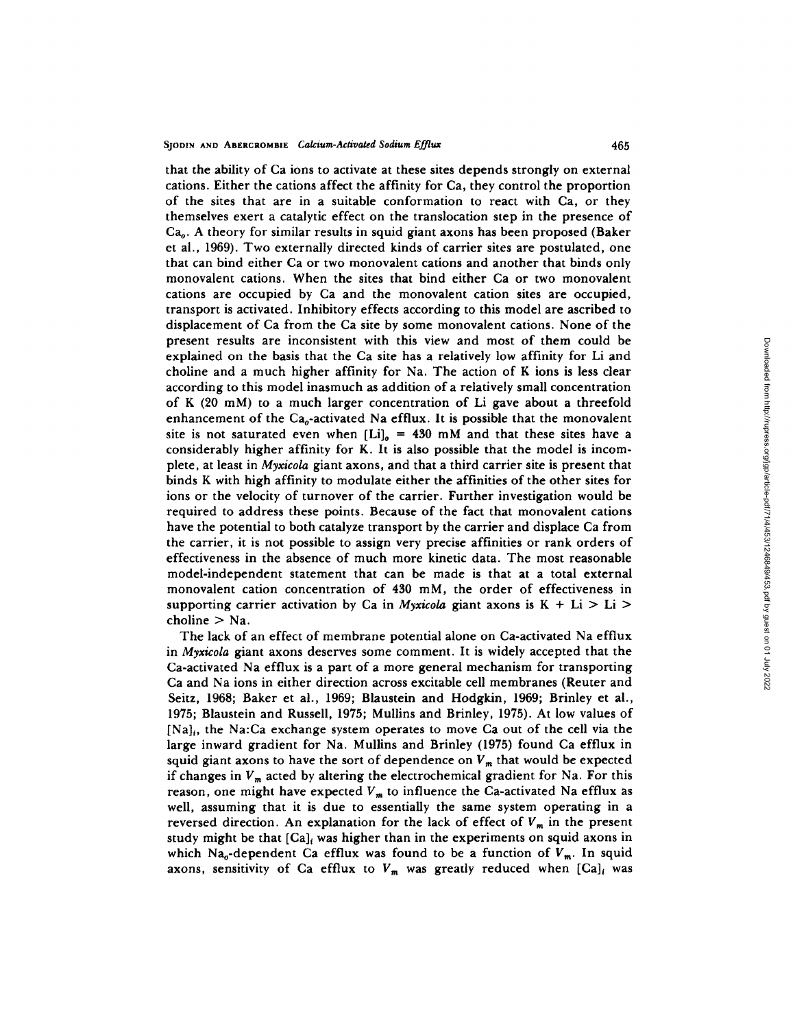that the ability of Ca ions to activate at these sites depends strongly on external cations. Either the cations affect the affinity for Ca, they control the proportion of the sites that are in a suitable conformation to react with Ca, or they themselves exert a catalytic effect on the translocation step in the presence of  $Ca<sub>a</sub>$ . A theory for similar results in squid giant axons has been proposed (Baker et al., 1969). Two externally directed kinds of carrier sites are postulated, one that can bind either Ca or two monovalent cations and another that binds only monovalent cations. When the sites that bind either Ca or two monovalent cations are occupied by Ca and the monovalent cation sites are occupied, transport is activated. Inhibitory effects according to this model are ascribed to displacement of Ca from the Ca site by some monovalent cations. None of the present results are inconsistent with this view and most of them could be explained on the basis that the Ca site has a relatively low affinity for Li and choline and a much higher affinity for Na. The action of K ions is less clear according to this model inasmuch as addition of a relatively small concentration of K (20 mM) to a much larger concentration of Li gave about a threefold enhancement of the  $Ca<sub>o</sub>$ -activated Na efflux. It is possible that the monovalent site is not saturated even when  $[Li]_o = 430$  mM and that these sites have a considerably higher affinity for K. It is also possible that the model is incomplete, at least in *Myxicola* giant axons, and that a third carrier site is present that binds K with high affinity to modulate either the affinities of the other sites for ions or the velocity of turnover of the carrier. Further investigation would be required to address these points. Because of the fact that monovalent cations have the potential to both catalyze transport by the carrier and displace Ca from the carrier, it is not possible to assign very precise affinities or rank orders of effectiveness in the absence of much more kinetic data. The most reasonable model-independent statement that can be made is that at a total external monovalent cation concentration of 430 mM, the order of effectiveness in supporting carrier activation by Ca in *Myxicola* giant axons is  $K + Li > Li$ choline > Na.

The lack of an effect of membrane potential alone on Ca-activated Na efflux in *Myxicola* giant axons deserves some comment. It is widely accepted that the Ca-activated Na efflux is a part of a more general mechanism for transporting Ca and Na ions in either direction across excitable cell membranes (Reuter and Seitz, 1968; Baker et al., 1969; Blaustein and Hodgkin, 1969; Brinley et al., 1975; Blaustein and Russell, 1975; Mullins and Brinley, 1975). At low values of  $[Na]_{i}$ , the Na:Ca exchange system operates to move Ca out of the cell via the large inward gradient for Na. Mullins and Brinley (1975) found Ca efflux in squid giant axons to have the sort of dependence on  $V_m$  that would be expected if changes in  $V_m$  acted by altering the electrochemical gradient for Na. For this reason, one might have expected  $V_m$  to influence the Ca-activated Na efflux as well, assuming that it is due to essentially the same system operating in a reversed direction. An explanation for the lack of effect of  $V_m$  in the present study might be that  $[Ca]$ <sub>t</sub> was higher than in the experiments on squid axons in which Na<sub>o</sub>-dependent Ca efflux was found to be a function of  $V_m$ . In squid axons, sensitivity of Ca efflux to  $V_m$  was greatly reduced when  $[Ca]_i$  was